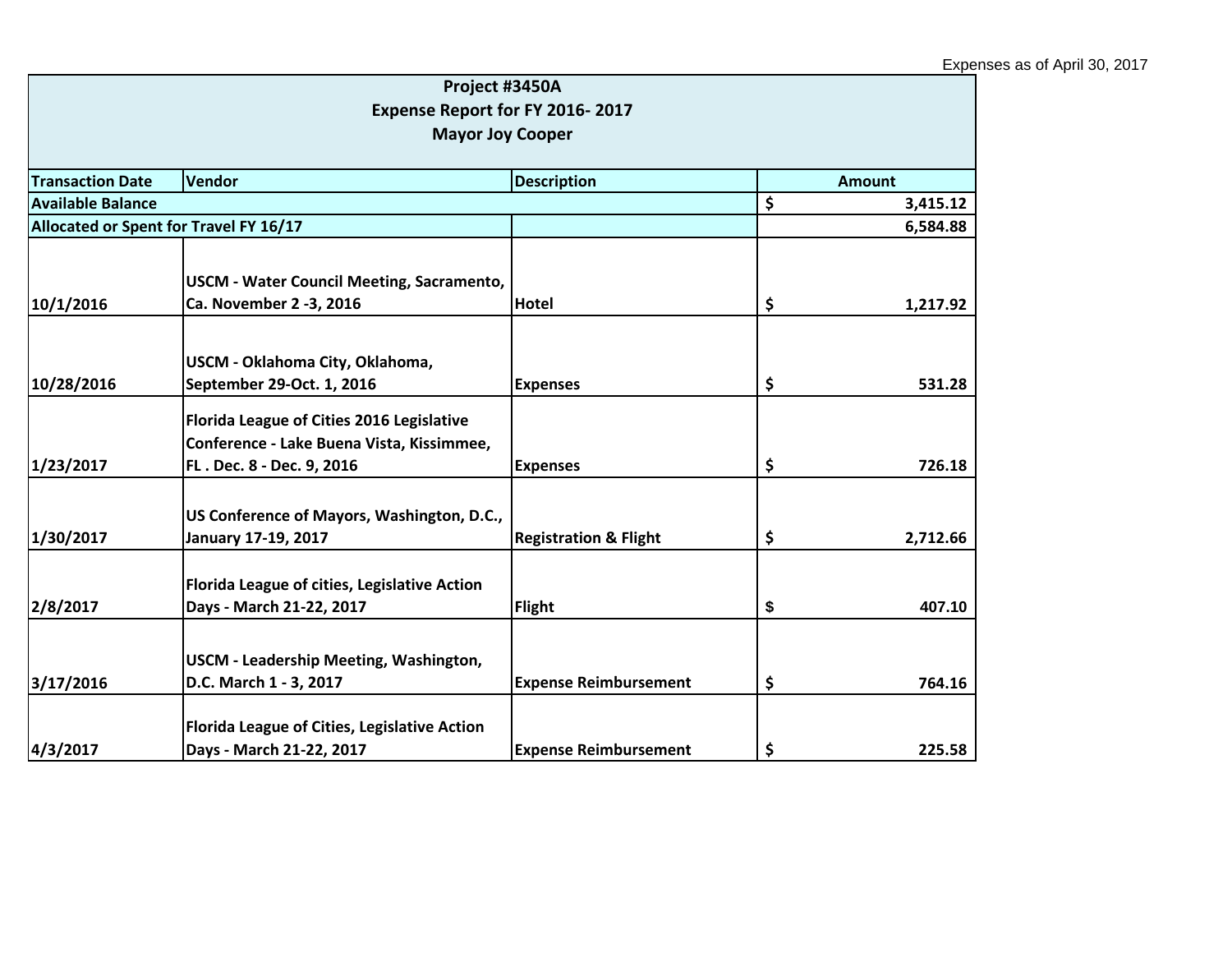|                                                | Project #3450A                               |                                  |    |          |
|------------------------------------------------|----------------------------------------------|----------------------------------|----|----------|
|                                                | Expense Report for FY 2016-2017              |                                  |    |          |
|                                                | <b>Mayor Joy Cooper</b>                      |                                  |    |          |
| <b>Transaction Date</b>                        | Vendor                                       | <b>Amount</b>                    |    |          |
| <b>Description</b><br><b>Available Balance</b> |                                              |                                  |    | 3,415.12 |
|                                                | Allocated or Spent for Travel FY 16/17       |                                  | \$ | 6,584.88 |
|                                                |                                              |                                  |    |          |
|                                                | USCM - Water Council Meeting, Sacramento,    |                                  |    |          |
| 10/1/2016                                      | Ca. November 2 -3, 2016                      | Hotel                            | \$ | 1,217.92 |
|                                                |                                              |                                  |    |          |
|                                                | USCM - Oklahoma City, Oklahoma,              |                                  |    |          |
| 10/28/2016                                     | September 29-Oct. 1, 2016                    | <b>Expenses</b>                  | \$ | 531.28   |
|                                                | Florida League of Cities 2016 Legislative    |                                  |    |          |
|                                                | Conference - Lake Buena Vista, Kissimmee,    |                                  |    |          |
| 1/23/2017                                      | FL. Dec. 8 - Dec. 9, 2016                    | <b>Expenses</b>                  | \$ | 726.18   |
|                                                |                                              |                                  |    |          |
|                                                | US Conference of Mayors, Washington, D.C.,   |                                  |    |          |
| 1/30/2017                                      | January 17-19, 2017                          | <b>Registration &amp; Flight</b> | \$ | 2,712.66 |
|                                                | Florida League of cities, Legislative Action |                                  |    |          |
| 2/8/2017                                       | Days - March 21-22, 2017                     | <b>Flight</b>                    | \$ | 407.10   |
|                                                |                                              |                                  |    |          |
|                                                | USCM - Leadership Meeting, Washington,       |                                  |    |          |
| 3/17/2016                                      | D.C. March 1 - 3, 2017                       | <b>Expense Reimbursement</b>     | \$ | 764.16   |
|                                                | Florida League of Cities, Legislative Action |                                  |    |          |
| 4/3/2017                                       | Days - March 21-22, 2017                     | <b>Expense Reimbursement</b>     | \$ | 225.58   |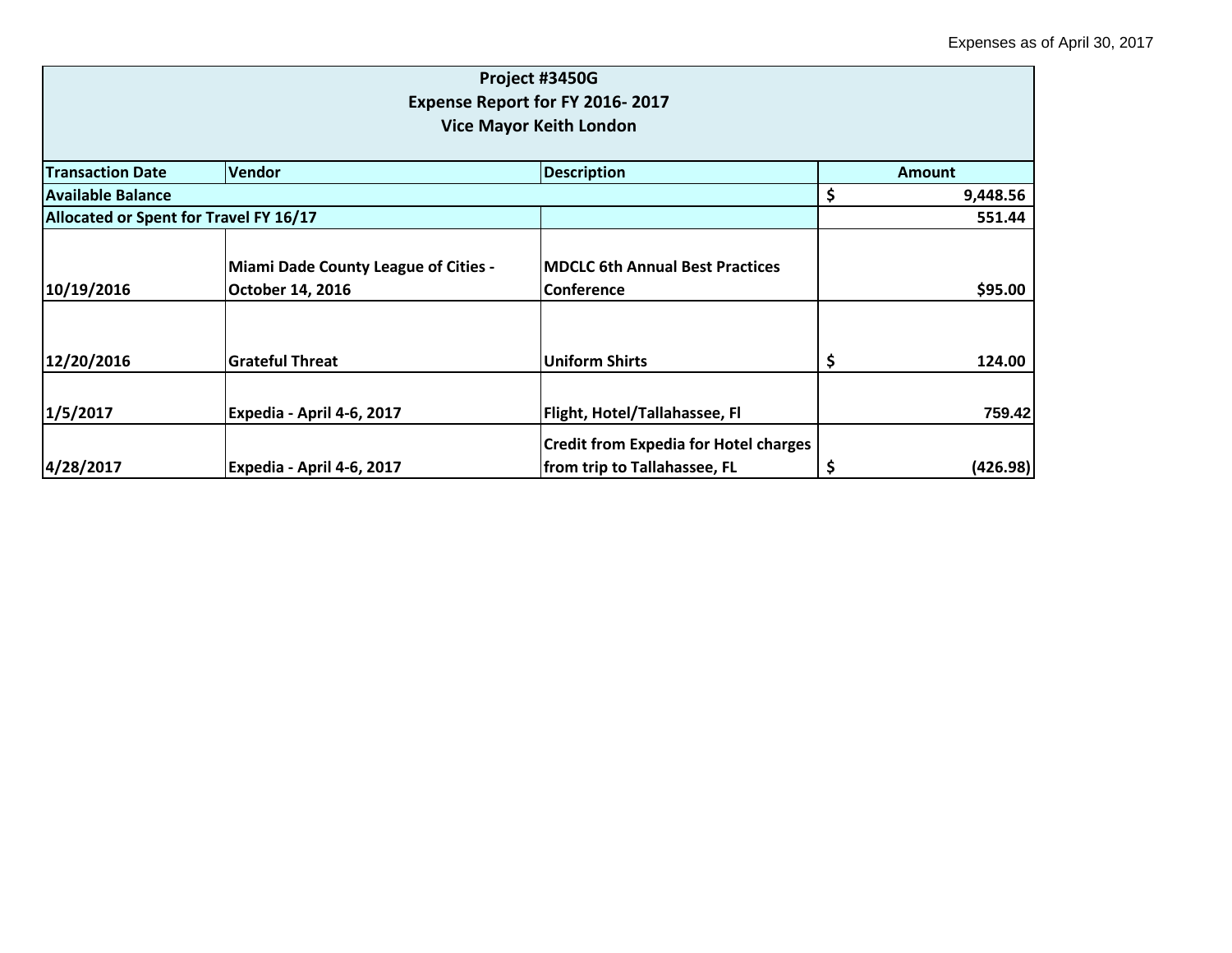|                         |                                                                 | Project #3450G<br>Expense Report for FY 2016-2017                            |    |               |
|-------------------------|-----------------------------------------------------------------|------------------------------------------------------------------------------|----|---------------|
|                         |                                                                 | <b>Vice Mayor Keith London</b>                                               |    |               |
| <b>Transaction Date</b> | Vendor                                                          | <b>Description</b>                                                           |    | <b>Amount</b> |
| Available Balance       |                                                                 |                                                                              | \$ | 9,448.56      |
|                         | Allocated or Spent for Travel FY 16/17                          |                                                                              |    | 551.44        |
| 10/19/2016              | <b>Miami Dade County League of Cities -</b><br>October 14, 2016 | <b>MDCLC 6th Annual Best Practices</b><br>Conference                         |    | \$95.00       |
| 12/20/2016              | <b>Grateful Threat</b>                                          | <b>Uniform Shirts</b>                                                        |    | 124.00        |
| 1/5/2017                | Expedia - April 4-6, 2017                                       | Flight, Hotel/Tallahassee, Fl                                                |    | 759.42        |
| 4/28/2017               | Expedia - April 4-6, 2017                                       | <b>Credit from Expedia for Hotel charges</b><br>from trip to Tallahassee, FL |    | (426.98)      |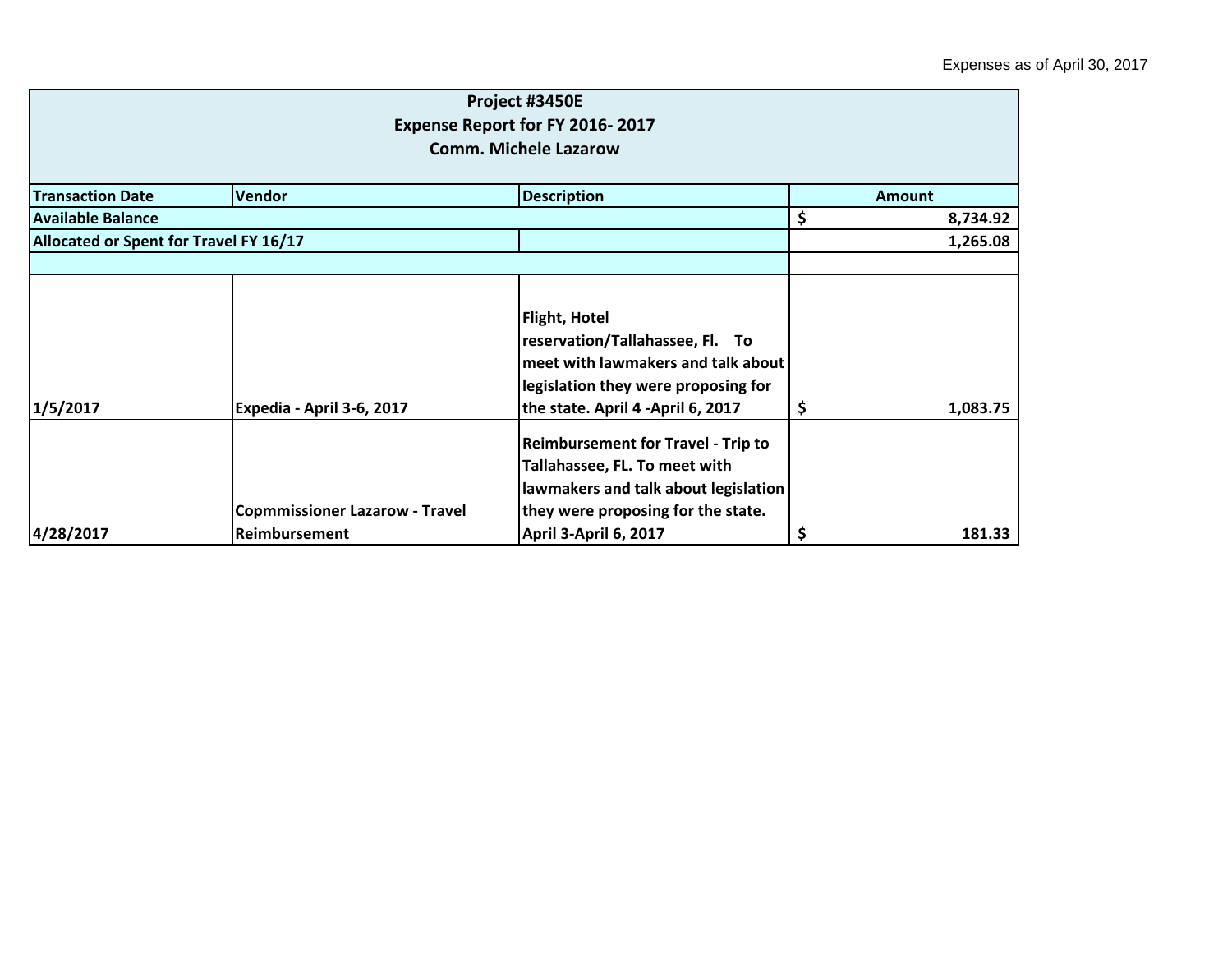|                                        |                                                        | Project #3450E<br>Expense Report for FY 2016-2017                                                                                                                                 |               |          |
|----------------------------------------|--------------------------------------------------------|-----------------------------------------------------------------------------------------------------------------------------------------------------------------------------------|---------------|----------|
| <b>Comm. Michele Lazarow</b>           |                                                        |                                                                                                                                                                                   |               |          |
| <b>Transaction Date</b>                | Vendor                                                 | <b>Description</b>                                                                                                                                                                | <b>Amount</b> |          |
| <b>Available Balance</b>               |                                                        |                                                                                                                                                                                   | \$            | 8,734.92 |
| Allocated or Spent for Travel FY 16/17 |                                                        |                                                                                                                                                                                   |               | 1,265.08 |
|                                        |                                                        |                                                                                                                                                                                   |               |          |
| 1/5/2017                               | Expedia - April 3-6, 2017                              | <b>Flight, Hotel</b><br>reservation/Tallahassee, Fl. To<br>meet with lawmakers and talk about<br>legislation they were proposing for<br>the state. April 4 -April 6, 2017         | \$            | 1,083.75 |
| 4/28/2017                              | <b>Copmmissioner Lazarow - Travel</b><br>Reimbursement | <b>Reimbursement for Travel - Trip to</b><br>Tallahassee, FL. To meet with<br>lawmakers and talk about legislation<br>they were proposing for the state.<br>April 3-April 6, 2017 | \$            | 181.33   |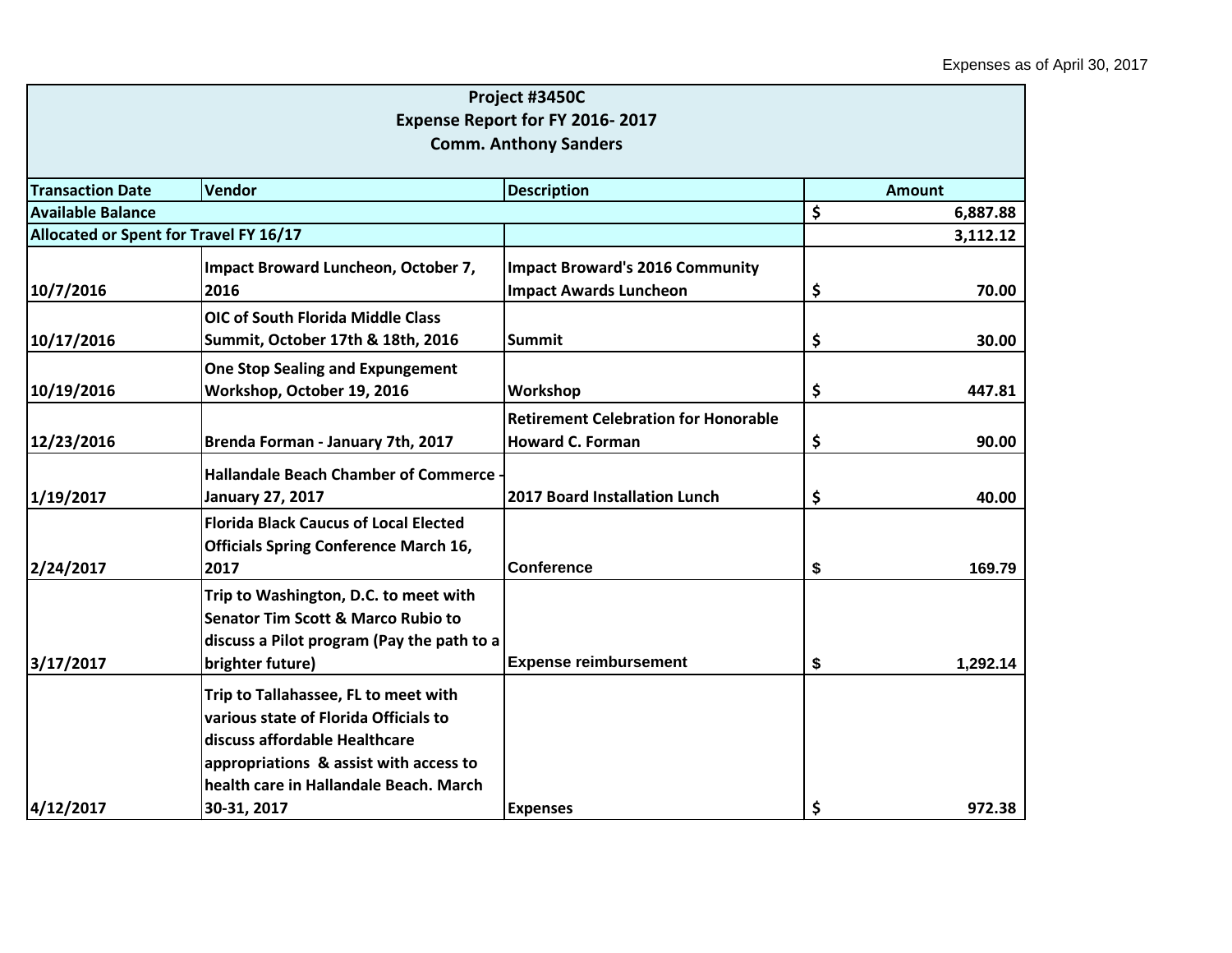|                                                         |                                               | Project #3450C                              |               |          |
|---------------------------------------------------------|-----------------------------------------------|---------------------------------------------|---------------|----------|
|                                                         |                                               | Expense Report for FY 2016-2017             |               |          |
|                                                         |                                               | <b>Comm. Anthony Sanders</b>                |               |          |
|                                                         |                                               |                                             |               |          |
| <b>Transaction Date</b><br>Vendor<br><b>Description</b> |                                               |                                             | <b>Amount</b> |          |
| <b>Available Balance</b>                                |                                               |                                             | \$            | 6,887.88 |
| Allocated or Spent for Travel FY 16/17                  |                                               |                                             |               | 3,112.12 |
|                                                         | Impact Broward Luncheon, October 7,           | <b>Impact Broward's 2016 Community</b>      |               |          |
| 10/7/2016                                               | 2016                                          | <b>Impact Awards Luncheon</b>               | \$            | 70.00    |
|                                                         | <b>OIC of South Florida Middle Class</b>      |                                             |               |          |
| 10/17/2016                                              | Summit, October 17th & 18th, 2016             | <b>Summit</b>                               | \$            | 30.00    |
|                                                         | <b>One Stop Sealing and Expungement</b>       |                                             |               |          |
| 10/19/2016                                              | Workshop, October 19, 2016                    | Workshop                                    | \$            | 447.81   |
|                                                         |                                               | <b>Retirement Celebration for Honorable</b> |               |          |
| 12/23/2016                                              | Brenda Forman - January 7th, 2017             | <b>Howard C. Forman</b>                     | \$            | 90.00    |
|                                                         | <b>Hallandale Beach Chamber of Commerce</b>   |                                             |               |          |
| 1/19/2017                                               | <b>January 27, 2017</b>                       | 2017 Board Installation Lunch               | \$            | 40.00    |
|                                                         | <b>Florida Black Caucus of Local Elected</b>  |                                             |               |          |
|                                                         | <b>Officials Spring Conference March 16,</b>  |                                             |               |          |
| 2/24/2017                                               | 2017                                          | Conference                                  | \$            | 169.79   |
|                                                         | Trip to Washington, D.C. to meet with         |                                             |               |          |
|                                                         | <b>Senator Tim Scott &amp; Marco Rubio to</b> |                                             |               |          |
|                                                         | discuss a Pilot program (Pay the path to a    |                                             |               |          |
| 3/17/2017                                               | brighter future)                              | <b>Expense reimbursement</b>                | \$            | 1,292.14 |
|                                                         | Trip to Tallahassee, FL to meet with          |                                             |               |          |
|                                                         | various state of Florida Officials to         |                                             |               |          |
|                                                         | discuss affordable Healthcare                 |                                             |               |          |
|                                                         | appropriations & assist with access to        |                                             |               |          |
|                                                         | health care in Hallandale Beach. March        |                                             |               |          |
| 4/12/2017                                               | 30-31, 2017                                   | <b>Expenses</b>                             | \$            | 972.38   |